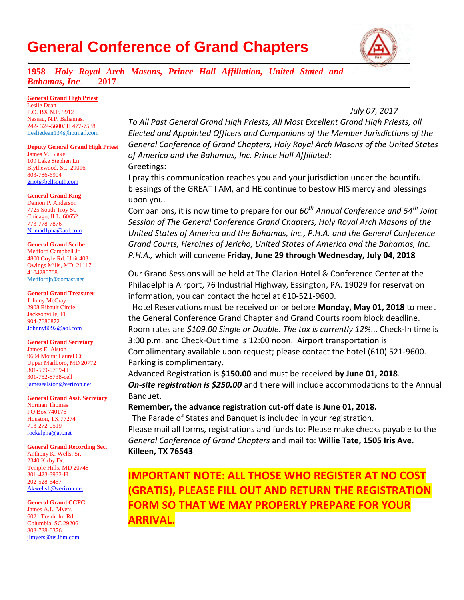# **General Conference of Grand Chapters**



**1958** *Holy Royal Arch Masons, Prince Hall Affiliation, United Stated and Bahamas, Inc*. **2017**

## **General Grand High Priest**

.

Leslie Dean P.O. BX N.P. 9912 Nassau, N.P. Bahamas. 242- 324-5600/ H 477-7588 Lesliedean134@hotmail.com

#### **Deputy General Grand High Priest**

James V. Blake 109 Lake Stephen Ln. Blythewood, SC. 29016 803-786-6904 griot@bellsouth.com

#### **General Grand King**

Damon P. Anderson 7725 South Troy St. Chicago, ILL. 60652 773-778-7876 Nomad1pha@aol.com

## **General Grand Scribe**

Medford Campbell Jr. 4800 Coyle Rd. Unit 403 Owings Mills, MD. 21117 4104286768 Medfordjr@comast.net

#### **General Grand Treasurer**

Johnny McCray 2908 Ribault Circle Jacksonville, Fl. 904-7686872 [Johnny8092@aol.com](mailto:Johnny8092@aol.com)

## **General Grand Secretary**

James E. Alston 9604 Mount Laurel Ct Upper Marlboro, MD 20772 301-599-0759-H 301-752-8738-cell [jamesealston@verizon.net](mailto:jamesealston@verizon.net)

## **General Grand Asst. Secretary**

Norman Thomas PO Box 740176 Houston, TX 77274 713-272-0519 [rockalpha@att.net](mailto:rockalpha@att.net)

## **General Grand Recording Sec.**

Anthony K. Wells, Sr. 2340 Kirby Dr. Temple Hills, MD 20748 301-423-3932-H 202-528-6467 [Akwells1@verizon.net](mailto:Akwells1@verizon.net)

**General Grand CCFC** James A.L. Myers 6021 Trenholm Rd Columbia, SC 29206 803-738-0376 [jlmyers@us.ibm.com](mailto:jlmyers@us.ibm.com)

*To All Past General Grand High Priests, All Most Excellent Grand High Priests, all Elected and Appointed Officers and Companions of the Member Jurisdictions of the General Conference of Grand Chapters, Holy Royal Arch Masons of the United States of America and the Bahamas, Inc. Prince Hall Affiliated:* Greetings:

I pray this communication reaches you and your jurisdiction under the bountiful blessings of the GREAT I AM, and HE continue to bestow HIS mercy and blessings upon you.

Companions, it is now time to prepare for our *60th Annual Conference and 54 th Joint Session of The General Conference Grand Chapters, Holy Royal Arch Masons of the United States of America and the Bahamas, Inc., P.H.A. and the General Conference Grand Courts, Heroines of Jericho, United States of America and the Bahamas, Inc. P.H.A.,* which will convene **Friday, June 29 through Wednesday, July 04, 2018**

Our Grand Sessions will be held at The Clarion Hotel & Conference Center at the Philadelphia Airport, 76 Industrial Highway, Essington, PA. 19029 for reservation information, you can contact the hotel at 610-521-9600.

 Hotel Reservations must be received on or before **Monday, May 01, 2018** to meet the General Conference Grand Chapter and Grand Courts room block deadline. Room rates are *\$109.00 Single or Double. The tax is currently 12%*... Check-In time is 3:00 p.m. and Check-Out time is 12:00 noon. Airport transportation is Complimentary available upon request; please contact the hotel (610) 521-9600. Parking is complimentary.

Advanced Registration is **\$150.00** and must be received **by June 01, 2018**. *On-site registration is \$250.00* and there will include accommodations to the Annual Banquet.

# **Remember, the advance registration cut-off date is June 01, 2018.**

 The Parade of States and Banquet is included in your registration. Please mail all forms, registrations and funds to: Please make checks payable to the *General Conference of Grand Chapters* and mail to: **Willie Tate, 1505 Iris Ave. Killeen, TX 76543**

**IMPORTANT NOTE: ALL THOSE WHO REGISTER AT NO COST (GRATIS), PLEASE FILL OUT AND RETURN THE REGISTRATION FORM SO THAT WE MAY PROPERLY PREPARE FOR YOUR ARRIVAL.** 

# *July 07, 2017*